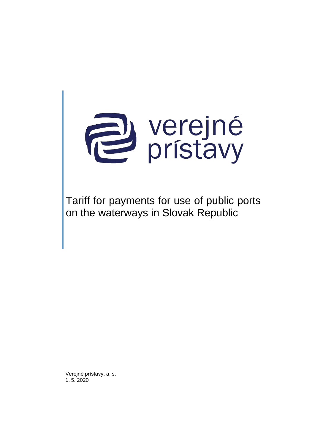

Tariff for payments for use of public ports on the waterways in Slovak Republic

Verejné prístavy, a. s. 1. 5. 2020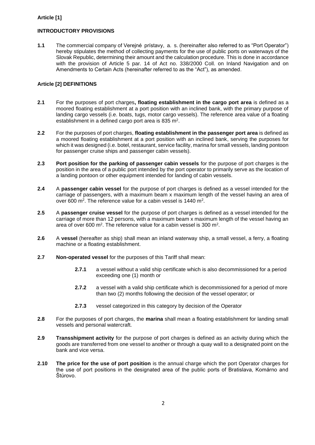# **Article [1]**

# **INTRODUCTORY PROVISIONS**

**1.1** The commercial company of Verejné prístavy, a. s. (hereinafter also referred to as "Port Operator") hereby stipulates the method of collecting payments for the use of public ports on waterways of the Slovak Republic, determining their amount and the calculation procedure. This is done in accordance with the provision of Article 5 par. 14 of Act no. 338/2000 Coll. on Inland Navigation and on Amendments to Certain Acts (hereinafter referred to as the "Act"), as amended.

## **Article [2] DEFINITIONS**

- **2.1** For the purposes of port charges**, floating establishment in the cargo port area** is defined as a moored floating establishment at a port position with an inclined bank, with the primary purpose of landing cargo vessels (i.e. boats, tugs, motor cargo vessels). The reference area value of a floating establishment in a defined cargo port area is 835 m<sup>2</sup>.
- **2.2** For the purposes of port charges, **floating establishment in the passenger port area** is defined as a moored floating establishment at a port position with an inclined bank, serving the purposes for which it was designed (i.e. botel, restaurant, service facility, marina for small vessels, landing pontoon for passenger cruise ships and passenger cabin vessels).
- **2.3 Port position for the parking of passenger cabin vessels** for the purpose of port charges is the position in the area of a public port intended by the port operator to primarily serve as the location of a landing pontoon or other equipment intended for landing of cabin vessels.
- **2.4** A **passenger cabin vessel** for the purpose of port charges is defined as a vessel intended for the carriage of passengers, with a maximum beam x maximum length of the vessel having an area of over 600 m<sup>2</sup>. The reference value for a cabin vessel is 1440 m<sup>2</sup>.
- **2.5** A **passenger cruise vessel** for the purpose of port charges is defined as a vessel intended for the carriage of more than 12 persons, with a maximum beam x maximum length of the vessel having an area of over 600 m<sup>2</sup>. The reference value for a cabin vessel is 300 m<sup>2</sup>.
- **2.6** A **vessel** (hereafter as ship) shall mean an inland waterway ship, a small vessel, a ferry, a floating machine or a floating establishment.
- **2.7 Non-operated vessel** for the purposes of this Tariff shall mean:
	- **2.7.1** a vessel without a valid ship certificate which is also decommissioned for a period exceeding one (1) month or
	- **2.7.2** a vessel with a valid ship certificate which is decommissioned for a period of more than two (2) months following the decision of the vessel operator; or
	- **2.7.3** vessel categorized in this category by decision of the Operator
- **2.8** For the purposes of port charges, the **marina** shall mean a floating establishment for landing small vessels and personal watercraft.
- **2.9 Transshipment activity** for the purpose of port charges is defined as an activity during which the goods are transferred from one vessel to another or through a quay wall to a designated point on the bank and vice versa.
- **2.10 The price for the use of port position** is the annual charge which the port Operator charges for the use of port positions in the designated area of the public ports of Bratislava, Komárno and Štúrovo.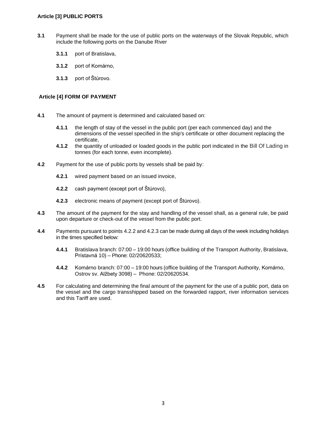### **Article [3] PUBLIC PORTS**

- **3.1** Payment shall be made for the use of public ports on the waterways of the Slovak Republic, which include the following ports on the Danube River
	- **3.1.1** port of Bratislava,
	- **3.1.2** port of Komárno,
	- **3.1.3** port of Štúrovo.

## **Article [4] FORM OF PAYMENT**

- **4.1** The amount of payment is determined and calculated based on:
	- **4.1.1** the length of stay of the vessel in the public port (per each commenced day) and the dimensions of the vessel specified in the ship's certificate or other document replacing the certificate,
	- **4.1.2** the quantity of unloaded or loaded goods in the public port indicated in the Bill Of Lading in tonnes (for each tonne, even incomplete).
- **4.2** Payment for the use of public ports by vessels shall be paid by:
	- **4.2.1** wired payment based on an issued invoice,
	- **4.2.2** cash payment (except port of Štúrovo),
	- **4.2.3** electronic means of payment (except port of Štúrovo).
- **4.3** The amount of the payment for the stay and handling of the vessel shall, as a general rule, be paid upon departure or check-out of the vessel from the public port.
- **4.4** Payments pursuant to points 4.2.2 and 4.2.3 can be made during all days of the week including holidays in the times specified below:
	- **4.4.1** Bratislava branch: 07:00 19:00 hours (office building of the Transport Authority, Bratislava, Prístavná 10) – Phone: 02/20620533;
	- **4.4.2** Komárno branch: 07:00 19:00 hours (office building of the Transport Authority, Komárno, Ostrov sv. Alžbety 3098) – Phone: 02/20620534.
- **4.5** For calculating and determining the final amount of the payment for the use of a public port, data on the vessel and the cargo transshipped based on the forwarded rapport, river information services and this Tariff are used.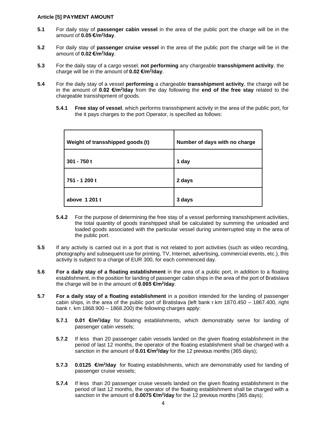#### **Article [5] PAYMENT AMOUNT**

- **5.1** For daily stay of **passenger cabin vessel** in the area of the public port the charge will be in the amount of **0.05 €/m<sup>2</sup> /day**.
- **5.2** For daily stay of **passenger cruise vessel** in the area of the public port the charge will be in the amount of **0.02 €/m<sup>2</sup> /day**.
- **5.3** For the daily stay of a cargo vessel, **not performing** any chargeable **transshipment activity**, the charge will be in the amount of **0.02 €/m<sup>2</sup> /day**.
- **5.4** For the daily stay of a vessel **performing** a chargeable **transshipment activity**, the charge will be in the amount of 0.02 €/m<sup>2</sup>/day from the day following the end of the free stay related to the chargeable transshipment of goods.
	- **5.4.1 Free stay of vessel**, which performs transshipment activity in the area of the public port, for the it pays charges to the port Operator, is specified as follows:

| Weight of transshipped goods (t) | Number of days with no charge |
|----------------------------------|-------------------------------|
| $301 - 750t$                     | 1 day                         |
| 751 - 1 200 t                    | 2 days                        |
| above 1 201 t                    | 3 days                        |

- **5.4.2** For the purpose of determining the free stay of a vessel performing transshipment activities, the total quantity of goods transhipped shall be calculated by summing the unloaded and loaded goods associated with the particular vessel during uninterrupted stay in the area of the public port.
- **5.5** If any activity is carried out in a port that is not related to port activities (such as video recording, photography and subsequent use for printing, TV, Internet, advertising, commercial events, etc.), this activity is subject to a charge of EUR 300, for each commenced day.
- **5.6 For a daily stay of a floating establishment** in the area of a public port, in addition to a floating establishment, in the position for landing of passenger cabin ships in the area of the port of Bratislava the charge will be in the amount of **0.005 €/m<sup>2</sup> /day**.
- **5.7 For a daily stay of a floating establishment** in a position intended for the landing of passenger cabin ships, in the area of the public port of Bratislava (left bank r.km 1870.450 – 1867.400, right bank r. km 1868.900 – 1868.200) the following charges apply:
	- **5.7.1 0.01 €/m<sup>2</sup>/day** for floating establishments, which demonstrably serve for landing of passenger cabin vessels;
	- **5.7.2** If less than 20 passenger cabin vessels landed on the given floating establishment in the period of last 12 months, the operator of the floating establishment shall be charged with a sanction in the amount of 0.01 €/m<sup>2</sup>/day for the 12 previous months (365 days);
	- **5.7.3 0.0125 €/m<sup>2</sup>/day** for floating establishments, which are demonstrably used for landing of passenger cruise vessels;
	- **5.7.4** If less than 20 passenger cruise vessels landed on the given floating establishment in the period of last 12 months, the operator of the floating establishment shall be charged with a sanction in the amount of 0.0075 €/m<sup>2</sup>/day for the 12 previous months (365 days);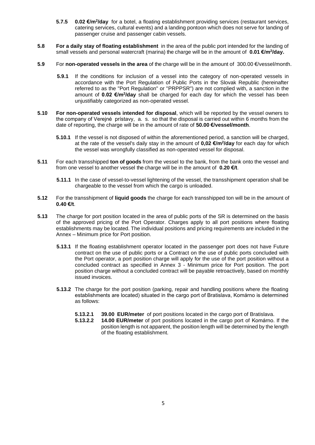- **5.7.5 0.02 €/m<sup>2</sup>/day** for a botel, a floating establishment providing services (restaurant services, catering services, cultural events) and a landing pontoon which does not serve for landing of passenger cruise and passenger cabin vessels.
- **5.8 For a daily stay of floating establishment** in the area of the public port intended for the landing of small vessels and personal watercraft (marina) the charge will be in the amount of **0.01 €/m<sup>2</sup> /day.**
- **5.9** For **non-operated vessels in the area** of the charge will be in the amount of 300.00 €/vessel/month.
	- **5.9.1** If the conditions for inclusion of a vessel into the category of non-operated vessels in accordance with the Port Regulation of Public Ports in the Slovak Republic (hereinafter referred to as the "Port Regulation" or "PRPPSR") are not complied with, a sanction in the amount of 0.02 €/m<sup>2</sup>/day shall be charged for each day for which the vessel has been unjustifiably categorized as non-operated vessel.
- **5.10 For non-operated vessels intended for disposal**, which will be reported by the vessel owners to the company of Verejné prístavy, a. s. so that the disposal is carried out within 6 months from the date of reporting, the charge will be in the amount of rate of **50.00 €/vessel/month**.
	- **5.10.1** If the vessel is not disposed of within the aforementioned period, a sanction will be charged, at the rate of the vessel's daily stay in the amount of **0,02 €/m<sup>2</sup> /day** for each day for which the vessel was wrongfully classified as non-operated vessel for disposal.
- **5.11** For each transshipped **ton of goods** from the vessel to the bank, from the bank onto the vessel and from one vessel to another vessel the charge will be in the amount of **0.20 €/t**.
	- **5.11.1** In the case of vessel-to-vessel lightening of the vessel, the transshipment operation shall be chargeable to the vessel from which the cargo is unloaded.
- **5.12** For the transshipment of **liquid goods** the charge for each transshipped ton will be in the amount of **0.40 €/t**.
- **5.13** The charge for port position located in the area of public ports of the SR is determined on the basis of the approved pricing of the Port Operator. Charges apply to all port positions where floating establishments may be located. The individual positions and pricing requirements are included in the Annex – Minimum price for Port position.
	- **5.13.1** If the floating establishment operator located in the passenger port does not have Future contract on the use of public ports or a Contract on the use of public ports concluded with the Port operator, a port position charge will apply for the use of the port position without a concluded contract as specified in Annex 3 - Minimum price for Port position. The port position charge without a concluded contract will be payable retroactively, based on monthly issued invoices.
	- **5.13.2** The charge for the port position (parking, repair and handling positions where the floating establishments are located) situated in the cargo port of Bratislava, Komárno is determined as follows:
		- **5.13.2.1 39.00 EUR/meter** of port positions located in the cargo port of Bratislava.
		- **5.13.2.2 14.00 EUR/meter** of port positions located in the cargo port of Komárno. If the position length is not apparent, the position length will be determined by the length of the floating establishment.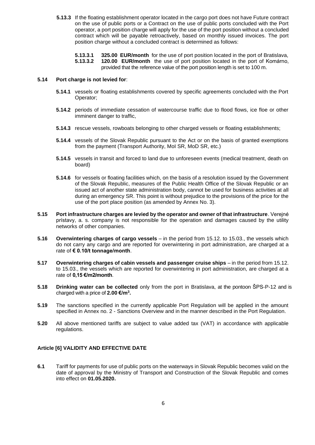**5.13.3** If the floating establishment operator located in the cargo port does not have Future contract on the use of public ports or a Contract on the use of public ports concluded with the Port operator, a port position charge will apply for the use of the port position without a concluded contract which will be payable retroactively, based on monthly issued invoices. The port position charge without a concluded contract is determined as follows:

**5.13.3.1 325.00 EUR/month** for the use of port position located in the port of Bratislava, **5.13.3.2 120.00 EUR/month** the use of port position located in the port of Komárno, provided that the reference value of the port position length is set to 100 m.

### **5.14 Port charge is not levied for**:

- **5.14.1** vessels or floating establishments covered by specific agreements concluded with the Port Operator;
- **5.14.2** periods of immediate cessation of watercourse traffic due to flood flows, ice floe or other imminent danger to traffic,
- **5.14.3** rescue vessels, rowboats belonging to other charged vessels or floating establishments;
- **5.14.4** vessels of the Slovak Republic pursuant to the Act or on the basis of granted exemptions from the payment (Transport Authority, MoI SR, MoD SR, etc.)
- **5.14.5** vessels in transit and forced to land due to unforeseen events (medical treatment, death on board)
- **5.14.6** for vessels or floating facilities which, on the basis of a resolution issued by the Government of the Slovak Republic, measures of the Public Health Office of the Slovak Republic or an issued act of another state administration body, cannot be used for business activities at all during an emergency SR. This point is without prejudice to the provisions of the price for the use of the port place position (as amended by Annex No. 3).
- **5.15 Port infrastructure charges are levied by the operator and owner of that infrastructure**. Verejné prístavy, a. s. company is not responsible for the operation and damages caused by the utility networks of other companies.
- **5.16 Overwintering charges of cargo vessels** in the period from 15.12. to 15.03., the vessels which do not carry any cargo and are reported for overwintering in port administration, are charged at a rate of **€ 0.10/t tonnage/month**.
- **5.17** Overwintering charges of cabin vessels and passenger cruise ships in the period from 15.12. to 15.03., the vessels which are reported for overwintering in port administration, are charged at a rate of **0,15 €/m2/month**.
- **5.18 Drinking water can be collected** only from the port in Bratislava, at the pontoon ŠPS-P-12 and is charged with a price of **2.00 €/m<sup>3</sup> .**
- **5.19** The sanctions specified in the currently applicable Port Regulation will be applied in the amount specified in Annex no. 2 - Sanctions Overview and in the manner described in the Port Regulation.
- **5.20** All above mentioned tariffs are subject to value added tax (VAT) in accordance with applicable regulations.

### **Article [6] VALIDITY AND EFFECTIVE DATE**

**6.1** Tariff for payments for use of public ports on the waterways in Slovak Republic becomes valid on the date of approval by the Ministry of Transport and Construction of the Slovak Republic and comes into effect on **01.05.2020.**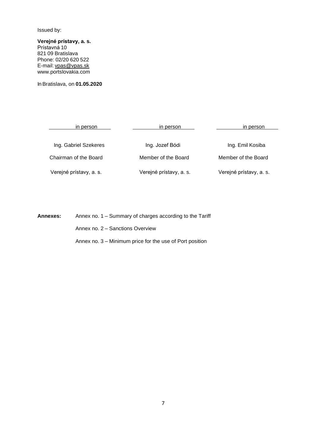Issued by:

**Verejné prístavy, a. s.** Prístavná 10 821 09 Bratislava Phone: 02/20 620 522 E-mail: [vpas@vpas.sk](mailto:vpas@vpas.sk) [www.portslovakia.com](http://www.portslovakia.com/)

In Bratislava, on **01.05.2020**

in person in person in person in person in person in person Ing. Gabriel Szekeres **Ing. Jozef Bódi** Ing. Home Ing. Emil Kosiba Chairman of the Board Member of the Board Member of the Board Verejné prístavy, a. s. Verejné prístavy, a. s. Verejné prístavy, a. s.

**Annexes:** Annex no. 1 – Summary of charges according to the Tariff Annex no. 2 – Sanctions Overview Annex no. 3 – Minimum price for the use of Port position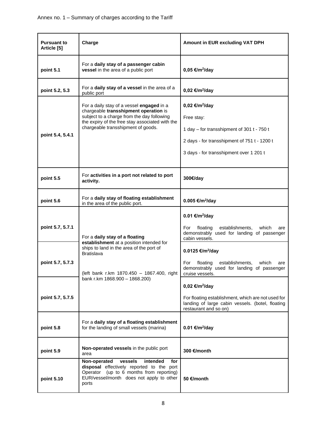| <b>Pursuant to</b><br>Article [5] | Charge                                                                                                                                                                                                                    | Amount in EUR excluding VAT DPH                                                                                                                                                   |  |
|-----------------------------------|---------------------------------------------------------------------------------------------------------------------------------------------------------------------------------------------------------------------------|-----------------------------------------------------------------------------------------------------------------------------------------------------------------------------------|--|
| point 5.1                         | For a daily stay of a passenger cabin<br>vessel in the area of a public port                                                                                                                                              | $0,05 \in$ /m <sup>2</sup> /day                                                                                                                                                   |  |
| point 5.2, 5.3                    | For a daily stay of a vessel in the area of a<br>public port                                                                                                                                                              | 0,02 €/m <sup>2</sup> /day                                                                                                                                                        |  |
| point 5.4, 5.4.1                  | For a daily stay of a vessel engaged in a<br>chargeable transshipment operation is<br>subject to a charge from the day following<br>the expiry of the free stay associated with the<br>chargeable transshipment of goods. | 0,02 €/m <sup>2</sup> /day<br>Free stay:<br>1 day - for transshipment of 301 t - 750 t<br>2 days - for transshipment of 751 t - 1200 t<br>3 days - for transshipment over 1 201 t |  |
| point 5.5                         | For activities in a port not related to port<br>activity.                                                                                                                                                                 | 300€/day                                                                                                                                                                          |  |
| point 5.6                         | For a daily stay of floating establishment<br>in the area of the public port.                                                                                                                                             | 0.005 €/m <sup>2</sup> /day                                                                                                                                                       |  |
| point 5.7, 5.7.1                  | For a daily stay of a floating                                                                                                                                                                                            | 0.01 €/m <sup>2</sup> /day<br>floating<br>establishments,<br>For<br>which<br>are<br>demonstrably used for landing of passenger<br>cabin vessels.                                  |  |
| point 5.7, 5.7.3                  | establishment at a position intended for<br>ships to land in the area of the port of<br><b>Bratislava</b><br>(left bank r.km 1870.450 - 1867.400, right                                                                   | 0.0125 €/m <sup>2</sup> /day<br>For<br>establishments,<br>floating<br>which<br>are<br>demonstrably used for landing of passenger<br>cruise vessels.                               |  |
| point 5.7, 5.7.5                  | bank r.km 1868.900 - 1868.200)                                                                                                                                                                                            | 0,02 €/m <sup>2</sup> /day<br>For floating establishment, which are not used for<br>landing of large cabin vessels. (botel, floating<br>restaurant and so on)                     |  |
| point 5.8                         | For a daily stay of a floating establishment<br>for the landing of small vessels (marina)                                                                                                                                 | 0.01 €/m <sup>2</sup> /day                                                                                                                                                        |  |
| point 5.9                         | Non-operated vessels in the public port<br>area                                                                                                                                                                           | 300 €/month                                                                                                                                                                       |  |
| point 5.10                        | Non-operated<br>vessels<br>intended<br>for<br>disposal effectively reported to the port<br>(up to 6 months from reporting)<br>Operator<br>EUR/vessel/month does not apply to other<br>ports                               | 50 €/month                                                                                                                                                                        |  |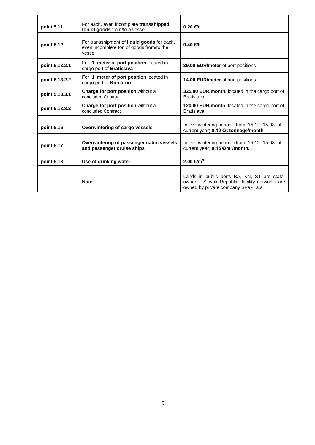| point 5.11     | For each, even incomplete transshipped<br>ton of goods from/to a vessel                           | 0.20 €/t                                                                                                                             |
|----------------|---------------------------------------------------------------------------------------------------|--------------------------------------------------------------------------------------------------------------------------------------|
| point 5.12     | For transshipment of liquid goods for each,<br>even incomplete ton of goods from/to the<br>vessel | $0.40$ €/t                                                                                                                           |
| point 5.13.2.1 | For 1 meter of port position located in<br>cargo port of Bratislava                               | 39.00 EUR/meter of port positions                                                                                                    |
| point 5.13.2.2 | For 1 meter of port position located in<br>cargo port of Komárno                                  | 14.00 EUR/meter of port positions                                                                                                    |
| point 5.13.3.1 | Charge for port position without a<br>concluded Contract                                          | 325.00 EUR/month, located in the cargo port of<br><b>Bratislava</b>                                                                  |
| point 5.13.3.2 | Charge for port position without a<br>concluded Contract                                          | 120.00 EUR/month, located in the cargo port of<br><b>Bratislava</b>                                                                  |
| point 5.16     | Overwintering of cargo vessels                                                                    | In overwintering period (from 15.12.-15.03. of<br>current year) 0.10 €/t tonnage/month                                               |
| point 5.17     | Overwintering of passenger cabin vessels<br>and passenger cruise ships                            | In overwintering period (from 15.12.-15.03. of<br>current year) 0.15 €/m <sup>2</sup> /month.                                        |
| point 5.18     | Use of drinking water                                                                             | 2.00 €/m <sup>3</sup>                                                                                                                |
|                | <b>Note</b>                                                                                       | Lands in public ports BA, KN, ST are state-<br>owned - Slovak Republic, facility networks are<br>owned by private company SPaP, a.s. |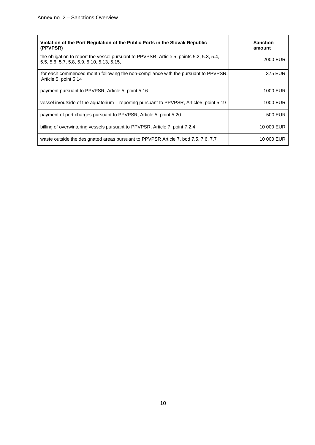| Violation of the Port Regulation of the Public Ports in the Slovak Republic<br>(PPVPSR)                                                | <b>Sanction</b><br>amount |
|----------------------------------------------------------------------------------------------------------------------------------------|---------------------------|
| the obligation to report the vessel pursuant to PPVPSR, Article 5, points 5.2, 5.3, 5.4,<br>5.5, 5.6, 5.7, 5.8, 5.9, 5.10, 5.13, 5.15, | 2000 EUR                  |
| for each commenced month following the non-compliance with the pursuant to PPVPSR,<br>Article 5, point 5.14                            | 375 EUR                   |
| payment pursuant to PPVPSR, Article 5, point 5.16                                                                                      | 1000 EUR                  |
| vessel in/outside of the aquatorium - reporting pursuant to PPVPSR, Article5, point 5.19                                               | 1000 EUR                  |
| payment of port charges pursuant to PPVPSR, Article 5, point 5.20                                                                      | 500 EUR                   |
| billing of overwintering vessels pursuant to PPVPSR, Article 7, point 7.2.4                                                            | 10 000 EUR                |
| waste outside the designated areas pursuant to PPVPSR Article 7, bod 7.5, 7.6, 7.7                                                     | 10 000 EUR                |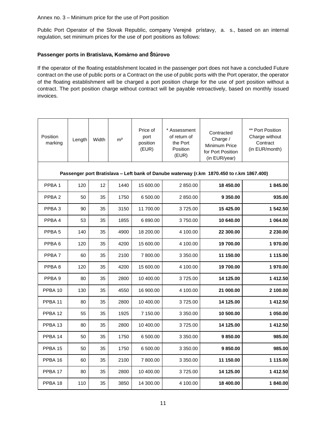#### Annex no. 3 – Minimum price for the use of Port position

Public Port Operator of the Slovak Republic, company Verejné prístavy, a. s., based on an internal regulation, set minimum prices for the use of port positions as follows:

### **Passenger ports in Bratislava, Komárno and Štúrovo**

If the operator of the floating establishment located in the passenger port does not have a concluded Future contract on the use of public ports or a Contract on the use of public ports with the Port operator, the operator of the floating establishment will be charged a port position charge for the use of port position without a contract. The port position charge without contract will be payable retroactively, based on monthly issued invoices.

| Position<br>marking | Length                                                                                    | Width | m <sup>2</sup> | Price of<br>port<br>position<br>(EUR) | * Assessment<br>of return of<br>the Port<br>Position<br>(EUR) | Contracted<br>Charge /<br>Minimum Price<br>for Port Position<br>(in EUR/year) | ** Port Position<br>Charge without<br>Contract<br>(in EUR/month) |  |  |  |
|---------------------|-------------------------------------------------------------------------------------------|-------|----------------|---------------------------------------|---------------------------------------------------------------|-------------------------------------------------------------------------------|------------------------------------------------------------------|--|--|--|
|                     | Passenger port Bratislava - Left bank of Danube waterway (r.km 1870.450 to r.km 1867.400) |       |                |                                       |                                                               |                                                                               |                                                                  |  |  |  |
| PPBA <sub>1</sub>   | 120                                                                                       | 12    | 1440           | 15 600.00                             | 2850.00                                                       | 18 450.00                                                                     | 1845.00                                                          |  |  |  |
| PPBA <sub>2</sub>   | 50                                                                                        | 35    | 1750           | 6 500.00                              | 2850.00                                                       | 9 350.00                                                                      | 935.00                                                           |  |  |  |
| PPBA <sub>3</sub>   | 90                                                                                        | 35    | 3150           | 11 700.00                             | 3725.00                                                       | 15 425.00                                                                     | 1 542.50                                                         |  |  |  |
| PPBA4               | 53                                                                                        | 35    | 1855           | 6890.00                               | 3750.00                                                       | 10 640.00                                                                     | 1 064.00                                                         |  |  |  |
| PPBA <sub>5</sub>   | 140                                                                                       | 35    | 4900           | 18 200.00                             | 4 100.00                                                      | 22 300.00                                                                     | 2 230.00                                                         |  |  |  |
| PPBA <sub>6</sub>   | 120                                                                                       | 35    | 4200           | 15 600.00                             | 4 100.00                                                      | 19 700.00                                                                     | 1970.00                                                          |  |  |  |
| PPBA <sub>7</sub>   | 60                                                                                        | 35    | 2100           | 7800.00                               | 3 350.00                                                      | 11 150.00                                                                     | 1 115.00                                                         |  |  |  |
| PPBA <sub>8</sub>   | 120                                                                                       | 35    | 4200           | 15 600.00                             | 4 100.00                                                      | 19 700.00                                                                     | 1970.00                                                          |  |  |  |
| PPBA <sub>9</sub>   | 80                                                                                        | 35    | 2800           | 10 400.00                             | 3725.00                                                       | 14 125.00                                                                     | 1 412.50                                                         |  |  |  |
| PPBA <sub>10</sub>  | 130                                                                                       | 35    | 4550           | 16 900.00                             | 4 100.00                                                      | 21 000.00                                                                     | 2 100.00                                                         |  |  |  |
| PPBA <sub>11</sub>  | 80                                                                                        | 35    | 2800           | 10 400.00                             | 3725.00                                                       | 14 125.00                                                                     | 1 412.50                                                         |  |  |  |
| PPBA 12             | 55                                                                                        | 35    | 1925           | 7 150.00                              | 3 350.00                                                      | 10 500.00                                                                     | 1 050.00                                                         |  |  |  |
| PPBA <sub>13</sub>  | 80                                                                                        | 35    | 2800           | 10 400.00                             | 3725.00                                                       | 14 125.00                                                                     | 1412.50                                                          |  |  |  |
| PPBA 14             | 50                                                                                        | 35    | 1750           | 6 500.00                              | 3 350.00                                                      | 9850.00                                                                       | 985.00                                                           |  |  |  |
| PPBA 15             | 50                                                                                        | 35    | 1750           | 6 500.00                              | 3 350.00                                                      | 9850.00                                                                       | 985.00                                                           |  |  |  |
| PPBA 16             | 60                                                                                        | 35    | 2100           | 7 800.00                              | 3 350.00                                                      | 11 150.00                                                                     | 1 115.00                                                         |  |  |  |
| PPBA <sub>17</sub>  | 80                                                                                        | 35    | 2800           | 10 400.00                             | 3725.00                                                       | 14 125.00                                                                     | 1412.50                                                          |  |  |  |
| PPBA 18             | 110                                                                                       | 35    | 3850           | 14 300.00                             | 4 100.00                                                      | 18 400.00                                                                     | 1840.00                                                          |  |  |  |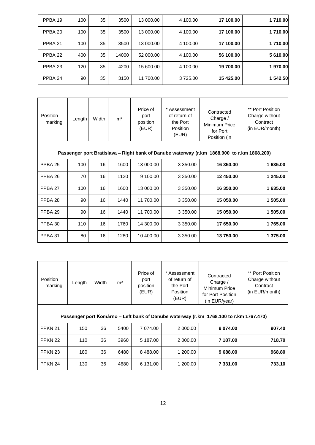| PPBA 19 | 100 | 35 | 3500  | 13 000.00 | 4 100.00 | 17 100.00 | 1710.00  |
|---------|-----|----|-------|-----------|----------|-----------|----------|
| PPBA 20 | 100 | 35 | 3500  | 13 000.00 | 4 100.00 | 17 100.00 | 1710.00  |
| PPBA 21 | 100 | 35 | 3500  | 13 000.00 | 4 100.00 | 17 100.00 | 1710.00  |
| PPBA 22 | 400 | 35 | 14000 | 52 000.00 | 4 100.00 | 56 100.00 | 5 610.00 |
| PPBA 23 | 120 | 35 | 4200  | 15 600.00 | 4 100.00 | 19 700.00 | 1970.00  |
| PPBA 24 | 90  | 35 | 3150  | 11 700.00 | 3725.00  | 15 425.00 | 1 542.50 |

| Position<br>marking                                                                        | Length | Width | m <sup>2</sup> | Price of<br>port<br>position<br>(EUR) | * Assessment<br>of return of<br>the Port<br>Position<br>(EUR) | Contracted<br>Charge $/$<br>Minimum Price<br>for Port<br>Position (in | ** Port Position<br>Charge without<br>Contract<br>(in EUR/month) |
|--------------------------------------------------------------------------------------------|--------|-------|----------------|---------------------------------------|---------------------------------------------------------------|-----------------------------------------------------------------------|------------------------------------------------------------------|
| Passenger port Bratislava - Right bank of Danube waterway (r.km 1868.900 to r.km 1868.200) |        |       |                |                                       |                                                               |                                                                       |                                                                  |
| PPBA <sub>25</sub>                                                                         | 100    | 16    | 1600           | 13 000.00                             | 3 3 5 0 . 0 0                                                 | 16 350,00                                                             | 1635.00                                                          |
| PPBA <sub>26</sub>                                                                         | 70     | 16    | 1120           | 9 100.00                              | 3 350.00                                                      | 12 450.00                                                             | 1 245.00                                                         |
| PPBA 27                                                                                    | 100    | 16    | 1600           | 13 000.00                             | 3 3 5 0 . 0 0                                                 | 16 350.00                                                             | 1635.00                                                          |
| PPBA <sub>28</sub>                                                                         | 90     | 16    | 1440           | 11 700.00                             | 3 3 5 0 . 0 0                                                 | 15 050.00                                                             | 1 505.00                                                         |
| PPBA <sub>29</sub>                                                                         | 90     | 16    | 1440           | 11 700.00                             | 3 3 5 0 . 0 0                                                 | 15 050,00                                                             | 1 505.00                                                         |
| PPBA 30                                                                                    | 110    | 16    | 1760           | 14 300.00                             | 3 3 5 0 . 0 0                                                 | 17 650.00                                                             | 1765.00                                                          |
| PPBA 31                                                                                    | 80     | 16    | 1280           | 10 400.00                             | 3 3 5 0 . 0 0                                                 | 13750.00                                                              | 1 375.00                                                         |

| Position<br>marking | Length                                                                                 | Width | m <sup>2</sup> | Price of<br>port<br>position<br>(EUR) | * Assessment<br>of return of<br>the Port<br>Position<br>(EUR) | Contracted<br>Charge $/$<br>Minimum Price<br>for Port Position<br>(in EUR/year) | ** Port Position<br>Charge without<br>Contract<br>(in EUR/month) |  |
|---------------------|----------------------------------------------------------------------------------------|-------|----------------|---------------------------------------|---------------------------------------------------------------|---------------------------------------------------------------------------------|------------------------------------------------------------------|--|
|                     | Passenger port Komárno – Left bank of Danube waterway (r.km 1768.100 to r.km 1767.470) |       |                |                                       |                                                               |                                                                                 |                                                                  |  |
| PPKN 21             | 150                                                                                    | 36    | 5400           | 7 074.00                              | 2 000,00                                                      | 9 0 74.00                                                                       | 907.40                                                           |  |
| PPKN 22             | 110                                                                                    | 36    | 3960           | 5 187.00                              | 2 000,00                                                      | 7 187.00                                                                        | 718.70                                                           |  |
| PPKN <sub>23</sub>  | 180                                                                                    | 36    | 6480           | 8488.00                               | 1 200.00                                                      | 9688.00                                                                         | 968.80                                                           |  |
| PPKN 24             | 130                                                                                    | 36    | 4680           | 6 131.00                              | 1 200.00                                                      | 7 331.00                                                                        | 733.10                                                           |  |